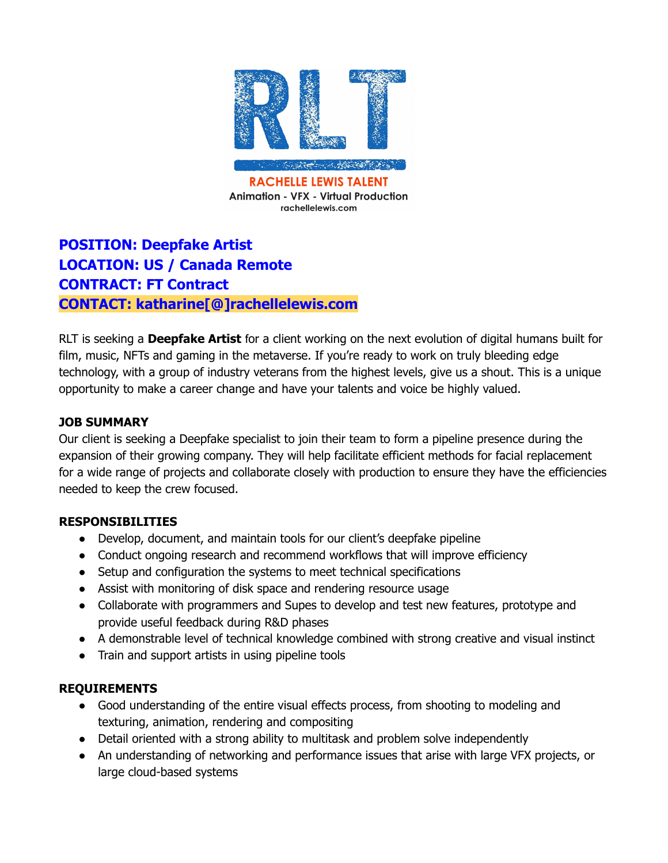

# **POSITION: Deepfake Artist LOCATION: US / Canada Remote CONTRACT: FT Contract CONTACT: katharine[@]rachellelewis.com**

RLT is seeking a **Deepfake Artist** for a client working on the next evolution of digital humans built for film, music, NFTs and gaming in the metaverse. If you're ready to work on truly bleeding edge technology, with a group of industry veterans from the highest levels, give us a shout. This is a unique opportunity to make a career change and have your talents and voice be highly valued.

### **JOB SUMMARY**

Our client is seeking a Deepfake specialist to join their team to form a pipeline presence during the expansion of their growing company. They will help facilitate efficient methods for facial replacement for a wide range of projects and collaborate closely with production to ensure they have the efficiencies needed to keep the crew focused.

#### **RESPONSIBILITIES**

- Develop, document, and maintain tools for our client's deepfake pipeline
- Conduct ongoing research and recommend workflows that will improve efficiency
- Setup and configuration the systems to meet technical specifications
- Assist with monitoring of disk space and rendering resource usage
- Collaborate with programmers and Supes to develop and test new features, prototype and provide useful feedback during R&D phases
- A demonstrable level of technical knowledge combined with strong creative and visual instinct
- Train and support artists in using pipeline tools

#### **REQUIREMENTS**

- Good understanding of the entire visual effects process, from shooting to modeling and texturing, animation, rendering and compositing
- Detail oriented with a strong ability to multitask and problem solve independently
- An understanding of networking and performance issues that arise with large VFX projects, or large cloud-based systems